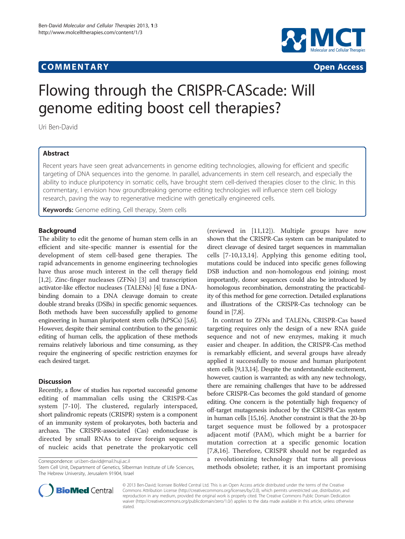# **COMMENTARY COMMENTARY Open Access**



# Flowing through the CRISPR-CAScade: Will genome editing boost cell therapies?

Uri Ben-David

# Abstract

Recent years have seen great advancements in genome editing technologies, allowing for efficient and specific targeting of DNA sequences into the genome. In parallel, advancements in stem cell research, and especially the ability to induce pluripotency in somatic cells, have brought stem cell-derived therapies closer to the clinic. In this commentary, I envision how groundbreaking genome editing technologies will influence stem cell biology research, paving the way to regenerative medicine with genetically engineered cells.

Keywords: Genome editing, Cell therapy, Stem cells

## Background

The ability to edit the genome of human stem cells in an efficient and site-specific manner is essential for the development of stem cell-based gene therapies. The rapid advancements in genome engineering technologies have thus arose much interest in the cell therapy field [[1,2\]](#page-1-0). Zinc-finger nucleases (ZFNs) [[3\]](#page-1-0) and transcription activator-like effector nucleases (TALENs) [\[4\]](#page-1-0) fuse a DNAbinding domain to a DNA cleavage domain to create double strand breaks (DSBs) in specific genomic sequences. Both methods have been successfully applied to genome engineering in human pluripotent stem cells (hPSCs) [\[5,6](#page-1-0)]. However, despite their seminal contribution to the genomic editing of human cells, the application of these methods remains relatively laborious and time consuming, as they require the engineering of specific restriction enzymes for each desired target.

## **Discussion**

Recently, a flow of studies has reported successful genome editing of mammalian cells using the CRISPR-Cas system [\[7](#page-1-0)-[10\]](#page-2-0). The clustered, regularly interspaced, short palindromic repeats (CRISPR) system is a component of an immunity system of prokaryotes, both bacteria and archaea. The CRISPR-associated (Cas) endonuclease is directed by small RNAs to cleave foreign sequences of nucleic acids that penetrate the prokaryotic cell

Correspondence: [uri.ben-david@mail.huji.ac.il](mailto:uri.ben-david@mail.huji.ac.il)

Stem Cell Unit, Department of Genetics, Silberman Institute of Life Sciences, The Hebrew University, Jerusalem 91904, Israel

(reviewed in [\[11,12](#page-2-0)]). Multiple groups have now shown that the CRISPR-Cas system can be manipulated to direct cleavage of desired target sequences in mammalian cells [\[7](#page-1-0)-[10,13,14](#page-2-0)]. Applying this genome editing tool, mutations could be induced into specific genes following DSB induction and non-homologous end joining; most importantly, donor sequences could also be introduced by homologous recombination, demonstrating the practicability of this method for gene correction. Detailed explanations and illustrations of the CRISPR-Cas technology can be found in [\[7,8\]](#page-1-0).

In contrast to ZFNs and TALENs, CRISPR-Cas based targeting requires only the design of a new RNA guide sequence and not of new enzymes, making it much easier and cheaper. In addition, the CRISPR-Cas method is remarkably efficient, and several groups have already applied it successfully to mouse and human pluripotent stem cells [[9,13,14](#page-2-0)]. Despite the understandable excitement, however, caution is warranted; as with any new technology, there are remaining challenges that have to be addressed before CRISPR-Cas becomes the gold standard of genome editing. One concern is the potentially high frequency of off-target mutagenesis induced by the CRISPR-Cas system in human cells [\[15,16\]](#page-2-0). Another constraint is that the 20-bp target sequence must be followed by a protospacer adjacent motif (PAM), which might be a barrier for mutation correction at a specific genomic location [[7,8](#page-1-0)[,16](#page-2-0)]. Therefore, CRISPR should not be regarded as a revolutionizing technology that turns all previous methods obsolete; rather, it is an important promising



© 2013 Ben-David; licensee BioMed Central Ltd. This is an Open Access article distributed under the terms of the Creative Commons Attribution License [\(http://creativecommons.org/licenses/by/2.0\)](http://creativecommons.org/licenses/by/2.0), which permits unrestricted use, distribution, and reproduction in any medium, provided the original work is properly cited. The Creative Commons Public Domain Dedication waiver [\(http://creativecommons.org/publicdomain/zero/1.0/\)](http://creativecommons.org/publicdomain/zero/1.0/) applies to the data made available in this article, unless otherwise stated.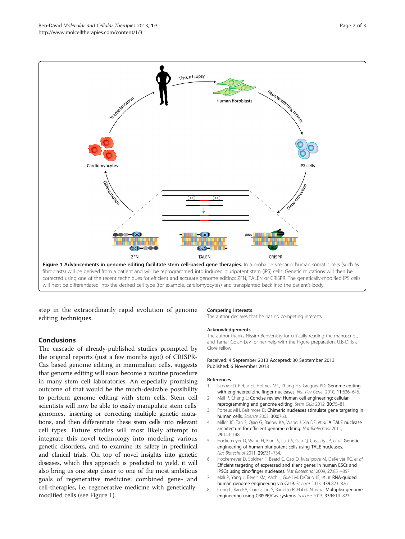<span id="page-1-0"></span>

step in the extraordinarily rapid evolution of genome editing techniques.

# Conclusions

The cascade of already-published studies prompted by the original reports (just a few months ago!) of CRISPR-Cas based genome editing in mammalian cells, suggests that genome editing will soon become a routine procedure in many stem cell laboratories. An especially promising outcome of that would be the much-desirable possibility to perform genome editing with stem cells. Stem cell scientists will now be able to easily manipulate stem cells' genomes, inserting or correcting multiple genetic mutations, and then differentiate these stem cells into relevant cell types. Future studies will most likely attempt to integrate this novel technology into modeling various genetic disorders, and to examine its safety in preclinical and clinical trials. On top of novel insights into genetic diseases, which this approach is predicted to yield, it will also bring us one step closer to one of the most ambitious goals of regenerative medicine: combined gene- and cell-therapies, i.e. regenerative medicine with geneticallymodified cells (see Figure 1).

#### Competing interests

The author declares that he has no competing interests.

#### Acknowledgements

The author thanks Nissim Benvenisty for critically reading the manuscript, and Tamar Golan-Lev for her help with the Figure preparation. U.B-D. is a Clore fellow.

#### Received: 4 September 2013 Accepted: 30 September 2013 Published: 6 November 2013

#### References

- Urnov FD, Rebar EJ, Holmes MC, Zhang HS, Gregory PD: Genome editing with engineered zinc finger nucleases. Nat Rev Genet 2010, 11:636–646.
- 2. Mali P, Cheng L: Concise review: Human cell engineering: cellular reprogramming and genome editing. Stem Cells 2012, 30:75–81.
- 3. Porteus MH, Baltimore D: Chimeric nucleases stimulate gene targeting in human cells. Science 2003, 300:763.
- 4. Miller JC, Tan S, Qiao G, Barlow KA, Wang J, Xia DF, et al: A TALE nuclease architecture for efficient genome editing. Nat Biotechnol 2011, 29:143–148.
- 5. Hockemeyer D, Wang H, Kiani S, Lai CS, Gao Q, Cassady JP, et al: Genetic engineering of human pluripotent cells using TALE nucleases. Nat Biotechnol 2011, 29:731–734.
- 6. Hockemeyer D, Soldner F, Beard C, Gao Q, Mitalipova M, DeKelver RC, et al: Efficient targeting of expressed and silent genes in human ESCs and iPSCs using zinc-finger nucleases. Nat Biotechnol 2009, 27:851–857.
- 7. Mali P, Yang L, Esvelt KM, Aach J, Guell M, DiCarlo JE, et al: RNA-guided human genome engineering via Cas9. Science 2013, 339:823–826.
- 8. Cong L, Ran FA, Cox D, Lin S, Barretto R, Habib N, et al: Multiplex genome engineering using CRISPR/Cas systems. Science 2013, 339:819–823.